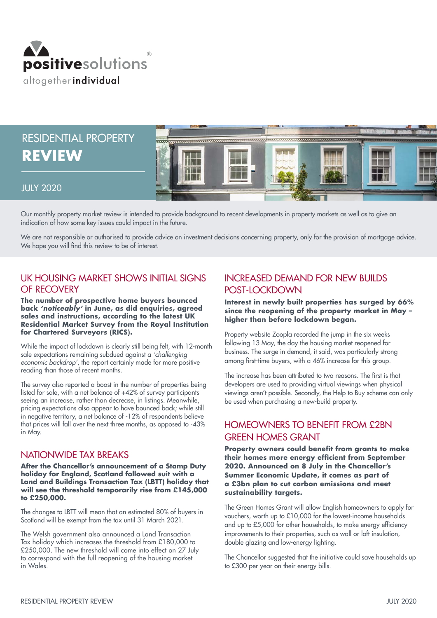

# RESIDENTIAL PROPERTY **REVIEW**



#### JULY 2020

Our monthly property market review is intended to provide background to recent developments in property markets as well as to give an indication of how some key issues could impact in the future.

We are not responsible or authorised to provide advice on investment decisions concerning property, only for the provision of mortgage advice. We hope you will find this review to be of interest.

## UK HOUSING MARKET SHOWS INITIAL SIGNS OF RECOVERY

**The number of prospective home buyers bounced back** *'noticeably'* **in June, as did enquiries, agreed sales and instructions, according to the latest UK Residential Market Survey from the Royal Institution for Chartered Surveyors (RICS).** 

While the impact of lockdown is clearly still being felt, with 12-month sale expectations remaining subdued against a *'challenging economic backdrop'*, the report certainly made for more positive reading than those of recent months.

The survey also reported a boost in the number of properties being listed for sale, with a net balance of +42% of survey participants seeing an increase, rather than decrease, in listings. Meanwhile, pricing expectations also appear to have bounced back; while still in negative territory, a net balance of -12% of respondents believe that prices will fall over the next three months, as opposed to -43% in May.

#### NATIONWIDE TAX BREAKS

**After the Chancellor's announcement of a Stamp Duty holiday for England, Scotland followed suit with a Land and Buildings Transaction Tax (LBTT) holiday that will see the threshold temporarily rise from £145,000 to £250,000.**

The changes to LBTT will mean that an estimated 80% of buyers in Scotland will be exempt from the tax until 31 March 2021.

The Welsh government also announced a Land Transaction Tax holiday which increases the threshold from £180,000 to £250,000. The new threshold will come into effect on 27 July to correspond with the full reopening of the housing market in Wales.

## INCREASED DEMAND FOR NEW BUILDS POST-LOCKDOWN

**Interest in newly built properties has surged by 66% since the reopening of the property market in May – higher than before lockdown began.**

Property website Zoopla recorded the jump in the six weeks following 13 May, the day the housing market reopened for business. The surge in demand, it said, was particularly strong among first-time buyers, with a 46% increase for this group.

The increase has been attributed to two reasons. The first is that developers are used to providing virtual viewings when physical viewings aren't possible. Secondly, the Help to Buy scheme can only be used when purchasing a new-build property.

## HOMEOWNERS TO BENEFIT FROM £2BN GREEN HOMES GRANT

**Property owners could benefit from grants to make their homes more energy efficient from September 2020. Announced on 8 July in the Chancellor's Summer Economic Update, it comes as part of a £3bn plan to cut carbon emissions and meet sustainability targets.**

The Green Homes Grant will allow English homeowners to apply for vouchers, worth up to £10,000 for the lowest-income households and up to £5,000 for other households, to make energy efficiency improvements to their properties, such as wall or loft insulation, double glazing and low-energy lighting.

The Chancellor suggested that the initiative could save households up to £300 per year on their energy bills.